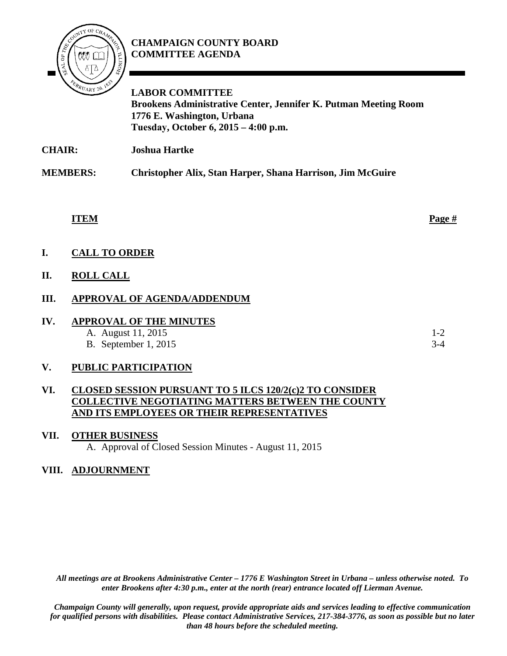# **CHAMPAIGN COUNTY BOARD COMMITTEE AGENDA**



**LABOR COMMITTEE Brookens Administrative Center, Jennifer K. Putman Meeting Room 1776 E. Washington, Urbana Tuesday, October 6, 2015 – 4:00 p.m.**

**CHAIR: Joshua Hartke** 

**MEMBERS: Christopher Alix, Stan Harper, Shana Harrison, Jim McGuire**

**ITEM Page #**

**I. CALL TO ORDER**

## **II. ROLL CALL**

## **III. APPROVAL OF AGENDA/ADDENDUM**

| IV | <b>APPROVAL OF THE MINUTES</b> |       |
|----|--------------------------------|-------|
|    | A. August 11, 2015             | $1-2$ |
|    | <b>B.</b> September 1, 2015    | $3-4$ |

#### **V. PUBLIC PARTICIPATION**

#### **VI. CLOSED SESSION PURSUANT TO 5 ILCS 120/2(c)2 TO CONSIDER COLLECTIVE NEGOTIATING MATTERS BETWEEN THE COUNTY AND ITS EMPLOYEES OR THEIR REPRESENTATIVES**

**VII. OTHER BUSINESS** A. Approval of Closed Session Minutes - August 11, 2015

#### **VIII. ADJOURNMENT**

*All meetings are at Brookens Administrative Center – 1776 E Washington Street in Urbana – unless otherwise noted. To enter Brookens after 4:30 p.m., enter at the north (rear) entrance located off Lierman Avenue.* 

*Champaign County will generally, upon request, provide appropriate aids and services leading to effective communication for qualified persons with disabilities. Please contact Administrative Services, 217-384-3776, as soon as possible but no later than 48 hours before the scheduled meeting.*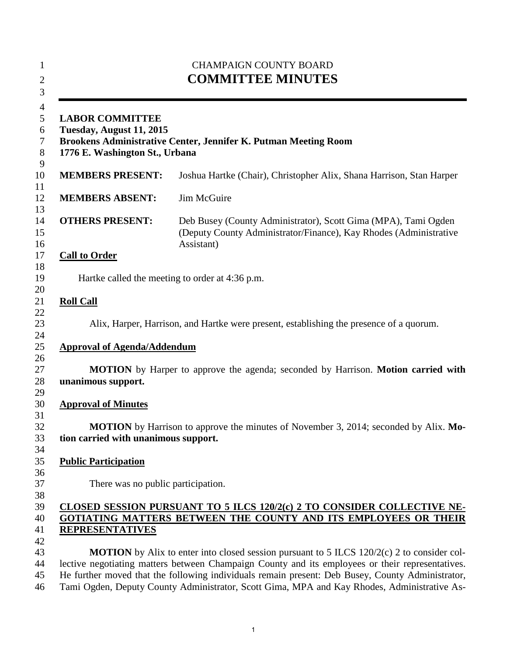| <b>LABOR COMMITTEE</b><br>Tuesday, August 11, 2015<br>1776 E. Washington St., Urbana<br><b>MEMBERS PRESENT:</b><br><b>MEMBERS ABSENT:</b><br><b>OTHERS PRESENT:</b><br><b>Call to Order</b><br>Hartke called the meeting to order at 4:36 p.m.<br><b>Roll Call</b><br><b>Approval of Agenda/Addendum</b> | Brookens Administrative Center, Jennifer K. Putman Meeting Room                                                                                   |
|----------------------------------------------------------------------------------------------------------------------------------------------------------------------------------------------------------------------------------------------------------------------------------------------------------|---------------------------------------------------------------------------------------------------------------------------------------------------|
|                                                                                                                                                                                                                                                                                                          |                                                                                                                                                   |
|                                                                                                                                                                                                                                                                                                          | Joshua Hartke (Chair), Christopher Alix, Shana Harrison, Stan Harper                                                                              |
|                                                                                                                                                                                                                                                                                                          | Jim McGuire                                                                                                                                       |
|                                                                                                                                                                                                                                                                                                          | Deb Busey (County Administrator), Scott Gima (MPA), Tami Ogden<br>(Deputy County Administrator/Finance), Kay Rhodes (Administrative<br>Assistant) |
|                                                                                                                                                                                                                                                                                                          |                                                                                                                                                   |
|                                                                                                                                                                                                                                                                                                          |                                                                                                                                                   |
|                                                                                                                                                                                                                                                                                                          |                                                                                                                                                   |
|                                                                                                                                                                                                                                                                                                          | Alix, Harper, Harrison, and Hartke were present, establishing the presence of a quorum.                                                           |
|                                                                                                                                                                                                                                                                                                          |                                                                                                                                                   |
|                                                                                                                                                                                                                                                                                                          | <b>MOTION</b> by Harper to approve the agenda; seconded by Harrison. <b>Motion carried with</b>                                                   |
| unanimous support.                                                                                                                                                                                                                                                                                       |                                                                                                                                                   |
| <b>Approval of Minutes</b>                                                                                                                                                                                                                                                                               |                                                                                                                                                   |
|                                                                                                                                                                                                                                                                                                          |                                                                                                                                                   |
| tion carried with unanimous support.                                                                                                                                                                                                                                                                     | MOTION by Harrison to approve the minutes of November 3, 2014; seconded by Alix. Mo-                                                              |
|                                                                                                                                                                                                                                                                                                          |                                                                                                                                                   |
| <b>Public Participation</b>                                                                                                                                                                                                                                                                              |                                                                                                                                                   |
| There was no public participation.                                                                                                                                                                                                                                                                       |                                                                                                                                                   |
|                                                                                                                                                                                                                                                                                                          |                                                                                                                                                   |
|                                                                                                                                                                                                                                                                                                          | CLOSED SESSION PURSUANT TO 5 ILCS 120/2(c) 2 TO CONSIDER COLLECTIVE NE-<br>GOTIATING MATTERS BETWEEN THE COUNTY AND ITS EMPLOYEES OR THEIR        |
| <b>REPRESENTATIVES</b>                                                                                                                                                                                                                                                                                   |                                                                                                                                                   |
|                                                                                                                                                                                                                                                                                                          |                                                                                                                                                   |
|                                                                                                                                                                                                                                                                                                          | <b>MOTION</b> by Alix to enter into closed session pursuant to $5$ ILCS $120/2(c)$ 2 to consider col-                                             |
|                                                                                                                                                                                                                                                                                                          | lective negotiating matters between Champaign County and its employees or their representatives.                                                  |
| He further moved that the following individuals remain present: Deb Busey, County Administrator,<br>Tami Ogden, Deputy County Administrator, Scott Gima, MPA and Kay Rhodes, Administrative As-                                                                                                          |                                                                                                                                                   |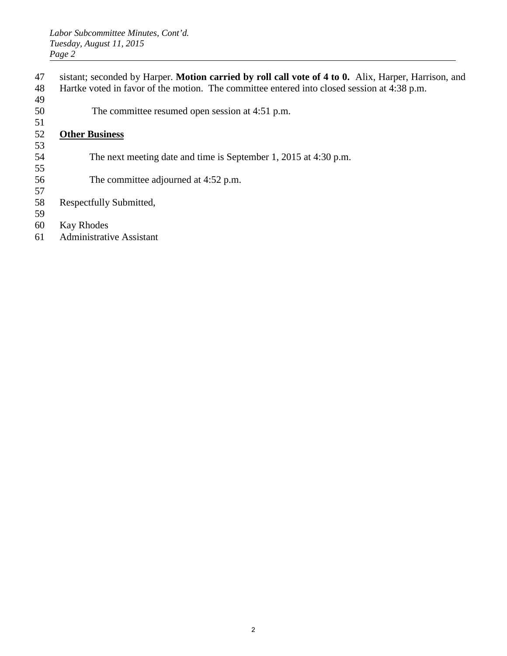- 47 sistant; seconded by Harper. **Motion carried by roll call vote of 4 to 0.** Alix, Harper, Harrison, and
- 48 Hartke voted in favor of the motion. The committee entered into closed session at 4:38 p.m.
- 49 50 The committee resumed open session at 4:51 p.m.

#### 51 52 **Other Business**

53

55

- 54 The next meeting date and time is September 1, 2015 at 4:30 p.m.
- 56 The committee adjourned at 4:52 p.m.
- 57 58 Respectfully Submitted,
- 59
- 60 Kay Rhodes
- 61 Administrative Assistant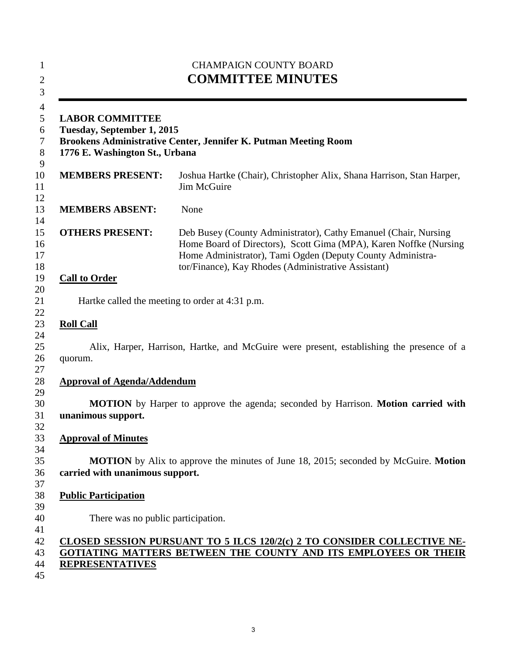| <b>LABOR COMMITTEE</b><br>Tuesday, September 1, 2015<br>Brookens Administrative Center, Jennifer K. Putman Meeting Room<br>1776 E. Washington St., Urbana |                                                                                                                                                                                                                                                           |  |
|-----------------------------------------------------------------------------------------------------------------------------------------------------------|-----------------------------------------------------------------------------------------------------------------------------------------------------------------------------------------------------------------------------------------------------------|--|
| <b>MEMBERS PRESENT:</b>                                                                                                                                   | Joshua Hartke (Chair), Christopher Alix, Shana Harrison, Stan Harper,<br>Jim McGuire                                                                                                                                                                      |  |
| <b>MEMBERS ABSENT:</b>                                                                                                                                    | None                                                                                                                                                                                                                                                      |  |
| <b>OTHERS PRESENT:</b>                                                                                                                                    | Deb Busey (County Administrator), Cathy Emanuel (Chair, Nursing<br>Home Board of Directors), Scott Gima (MPA), Karen Noffke (Nursing<br>Home Administrator), Tami Ogden (Deputy County Administra-<br>tor/Finance), Kay Rhodes (Administrative Assistant) |  |
| <b>Call to Order</b>                                                                                                                                      |                                                                                                                                                                                                                                                           |  |
|                                                                                                                                                           | Hartke called the meeting to order at 4:31 p.m.                                                                                                                                                                                                           |  |
| <b>Roll Call</b>                                                                                                                                          |                                                                                                                                                                                                                                                           |  |
| quorum.                                                                                                                                                   | Alix, Harper, Harrison, Hartke, and McGuire were present, establishing the presence of a                                                                                                                                                                  |  |
| <b>Approval of Agenda/Addendum</b>                                                                                                                        |                                                                                                                                                                                                                                                           |  |
| unanimous support.                                                                                                                                        | <b>MOTION</b> by Harper to approve the agenda; seconded by Harrison. Motion carried with                                                                                                                                                                  |  |
|                                                                                                                                                           |                                                                                                                                                                                                                                                           |  |
|                                                                                                                                                           |                                                                                                                                                                                                                                                           |  |
| <b>Approval of Minutes</b><br>carried with unanimous support.                                                                                             | <b>MOTION</b> by Alix to approve the minutes of June 18, 2015; seconded by McGuire. Motion                                                                                                                                                                |  |
| <b>Public Participation</b>                                                                                                                               |                                                                                                                                                                                                                                                           |  |